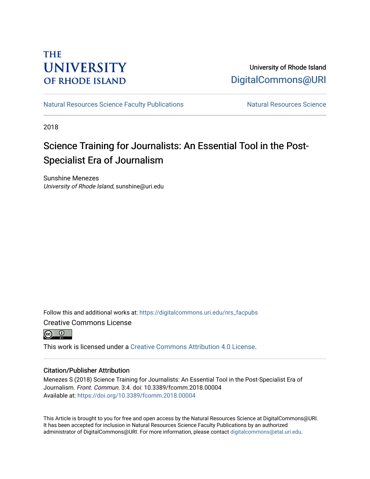## **THE UNIVERSITY OF RHODE ISLAND**

## University of Rhode Island [DigitalCommons@URI](https://digitalcommons.uri.edu/)

[Natural Resources Science Faculty Publications](https://digitalcommons.uri.edu/nrs_facpubs) Natural Resources Science

2018

# Science Training for Journalists: An Essential Tool in the Post-Specialist Era of Journalism

Sunshine Menezes University of Rhode Island, sunshine@uri.edu

Follow this and additional works at: [https://digitalcommons.uri.edu/nrs\\_facpubs](https://digitalcommons.uri.edu/nrs_facpubs?utm_source=digitalcommons.uri.edu%2Fnrs_facpubs%2F185&utm_medium=PDF&utm_campaign=PDFCoverPages)  Creative Commons License



This work is licensed under a [Creative Commons Attribution 4.0 License](https://creativecommons.org/licenses/by/4.0/).

## Citation/Publisher Attribution

Menezes S (2018) Science Training for Journalists: An Essential Tool in the Post-Specialist Era of Journalism. Front. Commun. 3:4. doi: 10.3389/fcomm.2018.00004 Available at:<https://doi.org/10.3389/fcomm.2018.00004>

This Article is brought to you for free and open access by the Natural Resources Science at DigitalCommons@URI. It has been accepted for inclusion in Natural Resources Science Faculty Publications by an authorized administrator of DigitalCommons@URI. For more information, please contact [digitalcommons@etal.uri.edu.](mailto:digitalcommons@etal.uri.edu)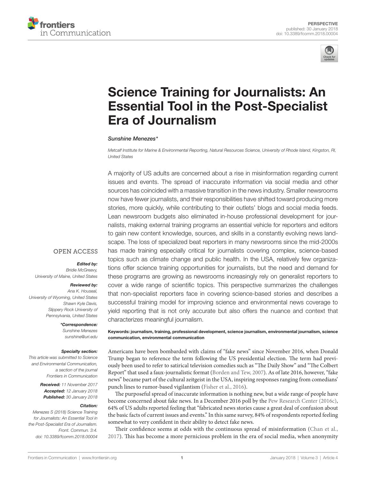



# [Science Training for Journalists: An](https://www.frontiersin.org/Journal/10.3389/fcomm.2018.00004/full)  [Essential Tool in the Post-Specialist](https://www.frontiersin.org/Journal/10.3389/fcomm.2018.00004/full)  [Era of Journalism](https://www.frontiersin.org/Journal/10.3389/fcomm.2018.00004/full)

#### *[Sunshine Menezes](http://loop.frontiersin.org/people/459279)\**

*Metcalf Institute for Marine & Environmental Reporting, Natural Resources Science, University of Rhode Island, Kingston, RI, United States*

A majority of US adults are concerned about a rise in misinformation regarding current issues and events. The spread of inaccurate information via social media and other sources has coincided with a massive transition in the news industry. Smaller newsrooms now have fewer journalists, and their responsibilities have shifted toward producing more stories, more quickly, while contributing to their outlets' blogs and social media feeds. Lean newsroom budgets also eliminated in-house professional development for journalists, making external training programs an essential vehicle for reporters and editors to gain new content knowledge, sources, and skills in a constantly evolving news landscape. The loss of specialized beat reporters in many newsrooms since the mid-2000s has made training especially critical for journalists covering complex, science-based topics such as climate change and public health. In the USA, relatively few organizations offer science training opportunities for journalists, but the need and demand for these programs are growing as newsrooms increasingly rely on generalist reporters to cover a wide range of scientific topics. This perspective summarizes the challenges that non-specialist reporters face in covering science-based stories and describes a successful training model for improving science and environmental news coverage to yield reporting that is not only accurate but also offers the nuance and context that characterizes meaningful journalism.

## **OPEN ACCESS**

## *Edited by:*

*Bridie McGreavy, University of Maine, United States*

#### *Reviewed by:*

*Ana K. Houseal, University of Wyoming, United States Shawn Kyle Davis, Slippery Rock University of Pennsylvania, United States*

#### *\*Correspondence:*

*Sunshine Menezes [sunshine@uri.edu](mailto:sunshine@uri.edu)*

#### *Specialty section:*

*This article was submitted to Science and Environmental Communication, a section of the journal Frontiers in Communication*

> *Received: 11 November 2017 Accepted: 12 January 2018 Published: 30 January 2018*

#### *Citation:*

*Menezes S (2018) Science Training for Journalists: An Essential Tool in the Post-Specialist Era of Journalism. Front. Commun. 3:4. doi: [10.3389/fcomm.2018.00004](https://doi.org/10.3389/fcomm.2018.00004)* Keywords: journalism, training, professional development, science journalism, environmental journalism, science communication, environmental communication

Americans have been bombarded with claims of "fake news" since November 2016, when Donald Trump began to reference the term following the US presidential election. The term had previously been used to refer to satirical television comedies such as "The Daily Show" and "The Colbert Report" that used a faux-journalistic format ([Borden and Tew, 2007\)](#page-4-0). As of late 2016, however, "fake news" became part of the cultural zeitgeist in the USA, inspiring responses ranging from comedians' punch lines to rumor-based vigilantism [\(Fisher et al., 2016](#page-4-1)).

The purposeful spread of inaccurate information is nothing new, but a wide range of people have become concerned about fake news. In a December 2016 poll by the [Pew Research Center \(2016c\),](#page-5-0) 64% of US adults reported feeling that "fabricated news stories cause a great deal of confusion about the basic facts of current issues and events." In this same survey, 84% of respondents reported feeling somewhat to very confident in their ability to detect fake news.

Their confidence seems at odds with the continuous spread of misinformation [\(Chan et al.,](#page-4-2)  [2017](#page-4-2)). This has become a more pernicious problem in the era of social media, when anonymity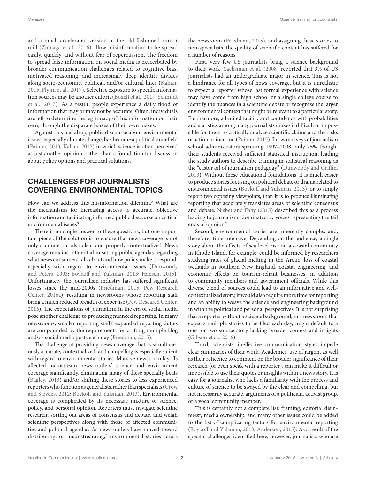and a much-accelerated version of the old-fashioned rumor mill ([Zubiaga et al., 2016](#page-5-1)) allow misinformation to be spread easily, quickly, and without fear of repercussion. The freedom to spread false information on social media is exacerbated by broader communication challenges related to cognitive bias, motivated reasoning, and increasingly deep identity divides along socio-economic, political, and/or cultural lines ([Kahan,](#page-5-2) [2015](#page-5-2); [Flynn et al., 2017](#page-4-3)). Selective exposure to specific information sources may be another culprit ([Boxell et al., 2017;](#page-4-4) [Schmidt](#page-5-3) [et al., 2017](#page-5-3)). As a result, people experience a daily flood of information that may or may not be accurate. Often, individuals are left to determine the legitimacy of this information on their own, through the disparate lenses of their own biases.

Against this backdrop, public discourse about environmental issues, especially climate change, has become a political minefield ([Painter, 2013](#page-5-4); [Kahan, 2015\)](#page-5-2) in which science is often perceived as just another opinion, rather than a foundation for discussion about policy options and practical solutions.

## CHALLENGES FOR JOURNALISTS COVERING ENVIRONMENTAL TOPICS

How can we address this misinformation dilemma? What are the mechanisms for increasing access to accurate, objective information and facilitating informed public discourse on critical environmental issues?

There is no single answer to these questions, but one important piece of the solution is to ensure that news coverage is not only accurate but also clear and properly contextualized. News coverage remains influential in setting public agendas regarding what news consumers talk about and how policy makers respond, especially with regard to environmental issues [\(Dunwoody](#page-4-5) [and Peters, 1993](#page-4-5); [Boykoff and Yulsman, 2013;](#page-4-6) [Hansen, 2015\)](#page-5-5). Unfortunately, the journalism industry has suffered significant losses since the mid-2000s ([Friedman, 2015](#page-5-6); [Pew Research](#page-5-7) [Center, 2016a](#page-5-7)), resulting in newsrooms whose reporting staff bring a much reduced breadth of expertise [\(Pew Research Center,](#page-5-8) [2013\)](#page-5-8). The expectations of journalism in the era of social media pose another challenge to producing nuanced reporting. In many newsrooms, smaller reporting staffs' expanded reporting duties are compounded by the requirements for crafting multiple blog and/or social media posts each day ([Friedman, 2015\)](#page-5-6).

The challenge of providing news coverage that is simultaneously accurate, contextualized, and compelling is especially salient with regard to environmental stories. Massive newsroom layoffs affected mainstream news outlets' science and environment coverage significantly, eliminating many of these specialty beats ([Bagley, 2013\)](#page-4-7) and/or shifting these stories to less experienced reporters who function as generalists, rather than specialists [\(Crow](#page-4-8) [and Stevens, 2012;](#page-4-8) [Boykoff and Yulsman, 2013\)](#page-4-6). Environmental coverage is complicated by its necessary mixture of science, policy, and personal opinion. Reporters must navigate scientific research, sorting out areas of consensus and debate, and weigh scientific perspectives along with those of affected communities and political agendas. As news outlets have moved toward distributing, or "mainstreaming," environmental stories across

the newsroom [\(Friedman, 2015](#page-5-6)), and assigning these stories to non-specialists, the quality of scientific content has suffered for a number of reasons.

First, very few US journalists bring a science background to their work. [Sachsman et al. \(2008\)](#page-5-9) reported that 3% of US journalists had an undergraduate major in science. This is not a hindrance for all types of news coverage, but it is unrealistic to expect a reporter whose last formal experience with science may have come from high school or a single college course to identify the nuances in a scientific debate or recognize the larger environmental context that might be relevant to a particular story. Furthermore, a limited facility and confidence with probabilities and statistics among many journalists makes it difficult or impossible for them to critically analyze scientific claims and the risks of action or inaction [\(Painter, 2015\)](#page-5-10). In two surveys of journalism school administrators spanning 1997–2008, only 25% thought their students received sufficient statistical instruction, leading the study authors to describe training in statistical reasoning as the "castor oil of journalism pedagogy" [\(Dunwoody and Griffin,](#page-4-9)  [2013](#page-4-9)). Without these educational foundations, it is much easier to produce stories focusing on political debate or drama related to environmental issues ([Boykoff and Yulsman, 2013](#page-4-6)), or to simply report two opposing viewpoints, than it is to produce illuminating reporting that accurately translates areas of scientific consensus and debate. [Nisbet and Fahy \(2015\)](#page-5-11) described this as a process leading to journalism "dominated by voices representing the tail ends of opinion."

Second, environmental stories are inherently complex and, therefore, time intensive. Depending on the audience, a single story about the effects of sea level rise on a coastal community in Rhode Island, for example, could be informed by researchers studying rates of glacial melting in the Arctic, loss of coastal wetlands in southern New England, coastal engineering, and economic effects on tourism-reliant businesses, in addition to community members and government officials. While this diverse blend of sources could lead to an informative and wellcontextualized story, it would also require more time for reporting and an ability to weave the science and engineering background in with the political and personal perspectives. It is not surprising that a reporter without a science background, in a newsroom that expects multiple stories to be filed each day, might default to a one- or two-source story lacking broader context and insights [\(Gibson et al., 2016\)](#page-5-12).

Third, scientists' ineffective communication styles impede clear summaries of their work. Academics' use of jargon, as well as their reticence to comment on the broader significance of their research (or even speak with a reporter), can make it difficult or impossible to use their quotes or insights within a news story. It is easy for a journalist who lacks a familiarity with the process and culture of science to be swayed by the clear and compelling, but not necessarily accurate, arguments of a politician, activist group, or a vocal community member.

This is certainly not a complete list: framing, editorial disinterest, media ownership, and many other issues could be added to the list of complicating factors for environmental reporting [\(Boykoff and Yulsman, 2013;](#page-4-6) [Anderson, 2015](#page-4-10)). As a result of the specific challenges identified here, however, journalists who are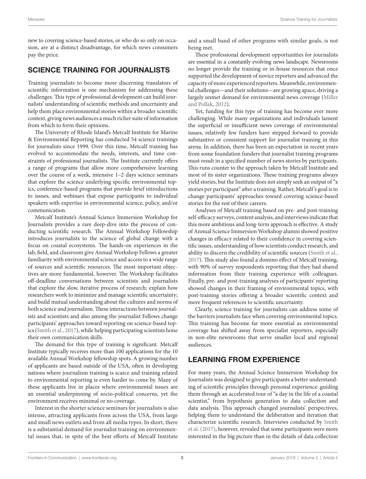new to covering science-based stories, or who do so only on occasion, are at a distinct disadvantage, for which news consumers pay the price.

## SCIENCE TRAINING FOR JOURNALISTS

Training journalists to become more discerning translators of scientific information is one mechanism for addressing these challenges. This type of professional development can build journalists' understanding of scientific methods and uncertainty and help them place environmental stories within a broader scientific context, giving news audiences a much richer suite of information from which to form their opinions.

The University of Rhode Island's Metcalf Institute for Marine & Environmental Reporting has conducted 54 science trainings for journalists since 1999. Over this time, Metcalf training has evolved to accommodate the needs, interests, and time constraints of professional journalists. The Institute currently offers a range of programs that allow more comprehensive learning over the course of a week, intensive 1–2 days science seminars that explore the science underlying specific environmental topics, conference-based programs that provide brief introductions to issues, and webinars that expose participants to individual speakers with expertise in environmental science, policy, and/or communication.

Metcalf Institute's Annual Science Immersion Workshop for Journalists provides a rare deep-dive into the process of conducting scientific research. The Annual Workshop Fellowship introduces journalists to the science of global change with a focus on coastal ecosystems. The hands-on experiences in the lab, field, and classroom give Annual Workshop Fellows a greater familiarity with environmental science and access to a wide range of sources and scientific resources. The most important objectives are more fundamental, however. The Workshop facilitates off-deadline conversations between scientists and journalists that explore the slow, iterative process of research; explain how researchers work to minimize and manage scientific uncertainty; and build mutual understanding about the cultures and norms of both science and journalism. These interactions between journalists and scientists and also among the journalist Fellows change participants' approaches toward reporting on science-based topics [\(Smith et al., 2017](#page-5-13)), while helping participating scientists hone their own communication skills.

The demand for this type of training is significant. Metcalf Institute typically receives more than 100 applications for the 10 available Annual Workshop fellowship spots. A growing number of applicants are based outside of the USA, often in developing nations where journalism training is scarce and training related to environmental reporting is even harder to come by. Many of these applicants live in places where environmental issues are an essential underpinning of socio-political concerns, yet the environment receives minimal or no coverage.

Interest in the shorter science seminars for journalists is also intense, attracting applicants from across the USA, from large and small news outlets and from all media types. In short, there is a substantial demand for journalist training on environmental issues that, in spite of the best efforts of Metcalf Institute and a small band of other programs with similar goals, is not being met.

These professional development opportunities for journalists are essential in a constantly evolving news landscape. Newsrooms no longer provide the training or in-house resources that once supported the development of novice reporters and advanced the capacity of more experienced reporters. Meanwhile, environmental challenges—and their solutions—are growing apace, driving a largely unmet demand for environmental news coverage ([Miller](#page-5-14)  [and Pollak, 2012\)](#page-5-14).

Yet, funding for this type of training has become ever more challenging. While many organizations and individuals lament the superficial or insufficient news coverage of environmental issues, relatively few funders have stepped forward to provide substantive or consistent support for journalist training in this arena. In addition, there has been an expectation in recent years from some foundation funders that journalist training programs must result in a specified number of news stories by participants. This runs counter to the approach taken by Metcalf Institute and most of its sister organizations. These training programs always yield stories, but the Institute does not simply seek an output of "x stories per participant" after a training. Rather, Metcalf 's goal is to change participants' approaches toward covering science-based stories for the rest of their careers.

Analyses of Metcalf training based on pre- and post-training self-efficacy surveys, content analysis, and interviews indicate that this more ambitious and long-term approach is effective. A study of Annual Science Immersion Workshop alumni showed positive changes in efficacy related to their confidence in covering scientific issues, understanding of how scientists conduct research, and ability to discern the credibility of scientific sources [\(Smith et al.,](#page-5-13)  [2017](#page-5-13)). This study also found a domino effect of Metcalf training, with 90% of survey respondents reporting that they had shared information from their training experience with colleagues. Finally, pre- and post-training analyses of participants' reporting showed changes in their framing of environmental topics, with post-training stories offering a broader scientific context and more frequent references to scientific uncertainty.

Clearly, science training for journalists can address some of the barriers journalists face when covering environmental topics. This training has become far more essential as environmental coverage has shifted away from specialist reporters, especially in non-elite newsrooms that serve smaller local and regional audiences.

## LEARNING FROM EXPERIENCE

For many years, the Annual Science Immersion Workshop for Journalists was designed to give participants a better understanding of scientific principles through personal experience: guiding them through an accelerated tour of "a day in the life of a coastal scientist," from hypothesis generation to data collection and data analysis. This approach changed journalists' perspectives, helping them to understand the deliberation and iteration that characterize scientific research. Interviews conducted by [Smith](#page-5-13)  [et al. \(2017\),](#page-5-13) however, revealed that some participants were more interested in the big picture than in the details of data collection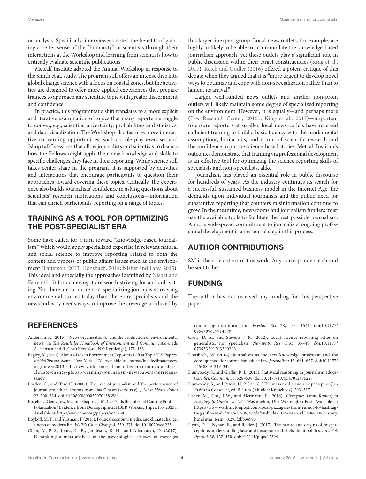or analysis. Specifically, interviewees noted the benefits of gaining a better sense of the "humanity" of scientists through their interactions at the Workshop and learning from scientists how to critically evaluate scientific publications.

Metcalf Institute adapted the Annual Workshop in response to the Smith et al. study. The program still offers an intense dive into global change science with a focus on coastal zones, but the activities are designed to offer more applied experiences that prepare trainees to approach any scientific topic with greater discernment and confidence.

In practice, this programmatic shift translates to a more explicit and iterative examination of topics that many reporters struggle to convey, e.g., scientific uncertainty, probabilities and statistics, and data visualization. The Workshop also features more interactive co-learning opportunities, such as role-play exercises and "shop talk" sessions that allow journalists and scientists to discuss how the Fellows might apply their new knowledge and skills to specific challenges they face in their reporting. While science still takes center stage in the program, it is supported by activities and interactions that encourage participants to question their approaches toward covering these topics. Critically, the experience also builds journalists' confidence in asking questions about scientists' research motivations and conclusions—information that can enrich participants' reporting on a range of topics.

## TRAINING AS A TOOL FOR OPTIMIZING THE POST-SPECIALIST ERA

Some have called for a turn toward "knowledge-based journalism," which would apply specialized expertise in relevant natural and social science to improve reporting related to both the content and process of public affairs issues such as the environment ([Patterson, 2013](#page-5-15); [Donsbach, 2014](#page-4-11); [Nisbet and Fahy, 2015\)](#page-5-11). This ideal and especially the approaches identified by [Nisbet and](#page-5-11) [Fahy \(2015\)](#page-5-11) for achieving it are worth striving for and cultivating. Yet, there are far more non-specializing journalists covering environmental stories today than there are specialists and the news industry needs ways to improve the coverage produced by

## **REFERENCES**

- <span id="page-4-10"></span>Anderson, A. (2015). "News organization(s) and the production of environmental news," in *The Routledge Handbook of Environment and Communication*, eds A. Hansen and R. Cox (New York, NY: Routledge), 175–183.
- <span id="page-4-7"></span>Bagley, K. (2013). About a Dozen Environment Reporters Left at Top 5 U.S. Papers. *InsideClimate News*. New York, NY. Available at: [https://insideclimatenews.](https://insideclimatenews.org/news/20130114/new-york-times-dismantles-environmental-desk-climate-change-global-warming-journalism-newspapers-hurricane-sandy) [org/news/20130114/new-york-times-dismantles-environmental-desk](https://insideclimatenews.org/news/20130114/new-york-times-dismantles-environmental-desk-climate-change-global-warming-journalism-newspapers-hurricane-sandy)[climate-change-global-warming-journalism-newspapers-hurricane](https://insideclimatenews.org/news/20130114/new-york-times-dismantles-environmental-desk-climate-change-global-warming-journalism-newspapers-hurricane-sandy)[sandy](https://insideclimatenews.org/news/20130114/new-york-times-dismantles-environmental-desk-climate-change-global-warming-journalism-newspapers-hurricane-sandy)
- <span id="page-4-0"></span>Borden, S., and Tew, C. (2007). The role of journalist and the performance of journalism: ethical lessons from "fake" news (seriously). *J. Mass Media Ethics* 22, 300–314. doi[:10.1080/08900520701583586](https://doi.org/10.1080/08900520701583586)
- <span id="page-4-4"></span>Boxell, L., Gentzkow, M., and Shapiro, J. M. (2017). Is the Internet Causing Political Polarization? Evidence from Demographics, NBER Working Paper, No. 23258. Available at:<http://www.nber.org/papers/w23258>
- <span id="page-4-6"></span>Boykoff, M. T., and Yulsman, T. (2013). Political economy, media, and climate change: sinews of modern life. *WIREs Clim. Change* 4, 359–371. doi[:10.1002/wcc.233](https://doi.org/10.1002/wcc.233)
- <span id="page-4-2"></span>Chan, M.-P. S., Jones, C. R., Jamieson, K. H., and Albarracín, D. (2017). Debunking: a meta-analysis of the psychological efficacy of messages

this larger, inexpert group. Local news outlets, for example, are highly unlikely to be able to accommodate the knowledge-based journalism approach, yet these outlets play a significant role in public discussion within their target constituencies [\(King et al.,](#page-5-16)  [2017](#page-5-16)). [Reich and Godler \(2016\)](#page-5-17) offered a potent critique of this debate when they argued that it is "more urgent to develop novel ways to optimize and cope with non-specialization rather than to lament its arrival."

Larger, well-funded news outlets and smaller non-profit outlets will likely maintain some degree of specialized reporting on the environment. However, it is equally—and perhaps more [\(Pew Research Center, 2016b;](#page-5-18) [King et al., 2017](#page-5-16))—important to ensure reporters at smaller, local news outlets have received sufficient training to build a basic fluency with the fundamental assumptions, limitations, and norms of scientific research and the confidence to pursue science-based stories. Metcalf Institute's outcomes demonstrate that training via professional development is an effective tool for optimizing the science reporting skills of specialists and non-specialists, alike.

Journalism has played an essential role in public discourse for hundreds of years. As the industry continues its search for a successful, sustained business model in the Internet Age, the demands upon individual journalists and the public need for substantive reporting that counters misinformation continue to grow. In the meantime, newsrooms and journalism funders must use the available tools to facilitate the best possible journalism. A more widespread commitment to journalists' ongoing professional development is an essential step in this process.

## AUTHOR CONTRIBUTIONS

SM is the sole author of this work. Any correspondence should be sent to her.

## FUNDING

The author has not received any funding for this perspective paper.

countering misinformation. *Psychol. Sci.* 28, 1531–1546. doi:[10.1177/](https://doi.org/10.1177/0956797617714579) [0956797617714579](https://doi.org/10.1177/0956797617714579)

- <span id="page-4-8"></span>Crow, D. A., and Stevens, J. R. (2012). Local science reporting relies on generalists, not specialists. *Newspap. Res. J.* 33, 35–48. doi:[10.1177/](https://doi.org/10.1177/073953291203300303) [073953291203300303](https://doi.org/10.1177/073953291203300303)
- <span id="page-4-11"></span>Donsbach, W. (2014). Journalism as the new knowledge profession and the consequences for journalism education. *Journalism* 15, 661–677. doi[:10.1177/](https://doi.org/10.1177/
1464884913491347) [1464884913491347](https://doi.org/10.1177/
1464884913491347)
- <span id="page-4-9"></span>Dunwoody, S., and Griffin, R. J. (2013). Statistical reasoning in journalism education. *Sci. Commun.* 35, 528–538. doi:[10.1177/1075547012475227](https://doi.org/10.1177/1075547012475227)
- <span id="page-4-5"></span>Dunwoody, S., and Peters, H. P. (1993). "The mass media and risk perception," in *Risk as a Construct*, ed. B. Ruck (Munich: Knesebeck), 293–317.
- <span id="page-4-1"></span>Fisher, M., Cox, J. W., and Hermann, P. (2016). *Pizzagate: From Rumor, to Hashtag, to Gunfire in D.C*. Washington, DC: Washington Post. Available at: [https://www.washingtonpost.com/local/pizzagate-from-rumor-to-hashtag](https://www.washingtonpost.com/local/pizzagate-from-rumor-to-hashtag-to-gunfire-in-dc/2016/12/06/4c7def50-bbd4-11e6-94ac-3d324840106c_story.html?utm_term=0.295f2bb36990)[to-gunfire-in-dc/2016/12/06/4c7def50-bbd4-11e6-94ac-3d324840106c\\_story.](https://www.washingtonpost.com/local/pizzagate-from-rumor-to-hashtag-to-gunfire-in-dc/2016/12/06/4c7def50-bbd4-11e6-94ac-3d324840106c_story.html?utm_term=0.295f2bb36990) [html?utm\\_term](https://www.washingtonpost.com/local/pizzagate-from-rumor-to-hashtag-to-gunfire-in-dc/2016/12/06/4c7def50-bbd4-11e6-94ac-3d324840106c_story.html?utm_term=0.295f2bb36990)=0.295f2bb36990
- <span id="page-4-3"></span>Flynn, D. J., Nyhan, B., and Reifler, J. (2017). The nature and origins of misperceptions: understanding false and unsupported beliefs about politics. *Adv. Pol. Pyschol.* 38, 127–150. doi[:10.1111/pops.12394](https://doi.org/10.1111/pops.12394)